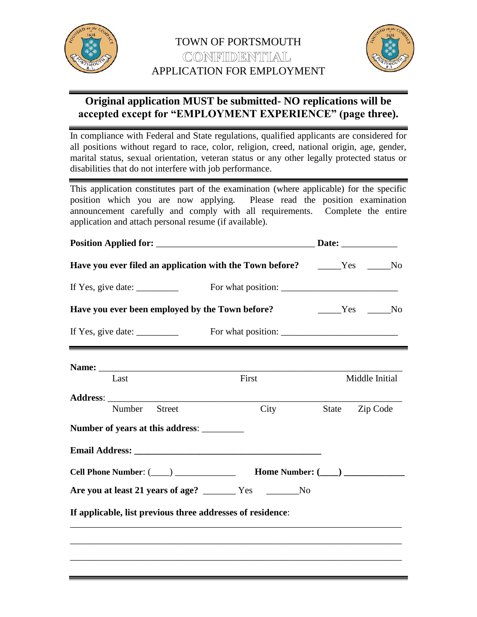



# **Original application MUST be submitted- NO replications will be accepted except for "EMPLOYMENT EXPERIENCE" (page three).**

In compliance with Federal and State regulations, qualified applicants are considered for all positions without regard to race, color, religion, creed, national origin, age, gender, marital status, sexual orientation, veteran status or any other legally protected status or disabilities that do not interfere with job performance.

This application constitutes part of the examination (where applicable) for the specific position which you are now applying. Please read the position examination announcement carefully and comply with all requirements. Complete the entire application and attach personal resume (if available).

|                                                                                                                                                                                                                                | Date: $\_\_$                                                                |                |                  |  |  |
|--------------------------------------------------------------------------------------------------------------------------------------------------------------------------------------------------------------------------------|-----------------------------------------------------------------------------|----------------|------------------|--|--|
| Have you ever filed an application with the Town before? _____Yes ____No                                                                                                                                                       |                                                                             |                |                  |  |  |
| If Yes, give date: $\frac{1}{\sqrt{1-\frac{1}{2}} \cdot \frac{1}{2}}$                                                                                                                                                          |                                                                             |                |                  |  |  |
| Have you ever been employed by the Town before?                                                                                                                                                                                |                                                                             |                | No Nesternand No |  |  |
| If Yes, give date:                                                                                                                                                                                                             |                                                                             |                |                  |  |  |
| Name: Name and the second state of the second state of the second state of the second state of the second state of the second state of the second state of the second state of the second state of the second state of the sec |                                                                             |                |                  |  |  |
| Last                                                                                                                                                                                                                           | First                                                                       | Middle Initial |                  |  |  |
|                                                                                                                                                                                                                                |                                                                             |                |                  |  |  |
| <b>Street</b><br>Number                                                                                                                                                                                                        | City                                                                        | State          | Zip Code         |  |  |
|                                                                                                                                                                                                                                |                                                                             |                |                  |  |  |
|                                                                                                                                                                                                                                |                                                                             |                |                  |  |  |
|                                                                                                                                                                                                                                | Cell Phone Number: (____) ___________________ Home Number: (____) _________ |                |                  |  |  |
|                                                                                                                                                                                                                                |                                                                             |                |                  |  |  |
| If applicable, list previous three addresses of residence:                                                                                                                                                                     |                                                                             |                |                  |  |  |
|                                                                                                                                                                                                                                |                                                                             |                |                  |  |  |
|                                                                                                                                                                                                                                |                                                                             |                |                  |  |  |
|                                                                                                                                                                                                                                |                                                                             |                |                  |  |  |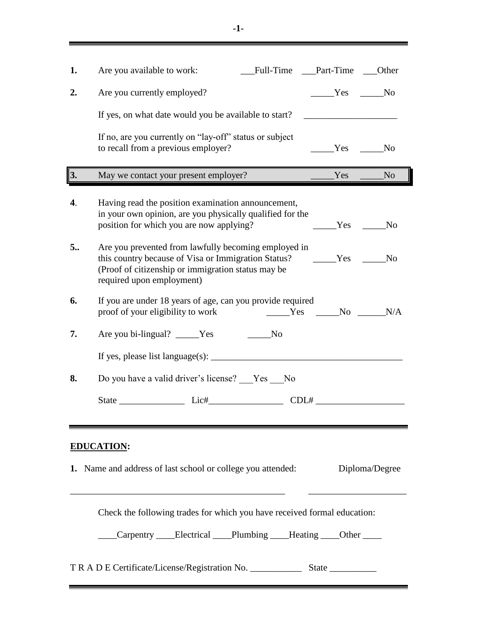| 1.                                                                                                                                                                             | Full-Time __Part-Time<br>Are you available to work:<br>___Other                                                                                                                                                                                                                                 |  |  |  |  |
|--------------------------------------------------------------------------------------------------------------------------------------------------------------------------------|-------------------------------------------------------------------------------------------------------------------------------------------------------------------------------------------------------------------------------------------------------------------------------------------------|--|--|--|--|
| 2.                                                                                                                                                                             | Are you currently employed?<br>Yes No                                                                                                                                                                                                                                                           |  |  |  |  |
|                                                                                                                                                                                | If yes, on what date would you be available to start?                                                                                                                                                                                                                                           |  |  |  |  |
|                                                                                                                                                                                | If no, are you currently on "lay-off" status or subject<br>to recall from a previous employer?<br>N <sub>o</sub><br>Yes                                                                                                                                                                         |  |  |  |  |
| 3.                                                                                                                                                                             | May we contact your present employer?<br><b>Exercise Service Service Service Service Service Service Service Service Service Service Service Service Service Service Service Service Service Service Service Service Service Service Service Service Service Service Serv</b><br>N <sub>o</sub> |  |  |  |  |
| 4.                                                                                                                                                                             | Having read the position examination announcement,<br>in your own opinion, are you physically qualified for the<br>position for which you are now applying?<br>Yes<br>N <sub>O</sub>                                                                                                            |  |  |  |  |
| 5                                                                                                                                                                              | Are you prevented from lawfully becoming employed in<br>this country because of Visa or Immigration Status? ________Yes<br>N <sub>o</sub><br>(Proof of citizenship or immigration status may be<br>required upon employment)                                                                    |  |  |  |  |
| 6.                                                                                                                                                                             | If you are under 18 years of age, can you provide required<br>N/A<br>proof of your eligibility to work<br>$Yes$ No                                                                                                                                                                              |  |  |  |  |
| 7.                                                                                                                                                                             | Are you bi-lingual? _____Yes<br>N <sub>O</sub>                                                                                                                                                                                                                                                  |  |  |  |  |
|                                                                                                                                                                                |                                                                                                                                                                                                                                                                                                 |  |  |  |  |
| 8.                                                                                                                                                                             | Do you have a valid driver's license? Ves ___ No                                                                                                                                                                                                                                                |  |  |  |  |
|                                                                                                                                                                                | State Lic#<br>CDL#                                                                                                                                                                                                                                                                              |  |  |  |  |
| <b>EDUCATION:</b><br>1. Name and address of last school or college you attended:<br>Diploma/Degree<br>Check the following trades for which you have received formal education: |                                                                                                                                                                                                                                                                                                 |  |  |  |  |
|                                                                                                                                                                                | Carpentry ____Electrical ____Plumbing ____Heating ____Other ____                                                                                                                                                                                                                                |  |  |  |  |
|                                                                                                                                                                                |                                                                                                                                                                                                                                                                                                 |  |  |  |  |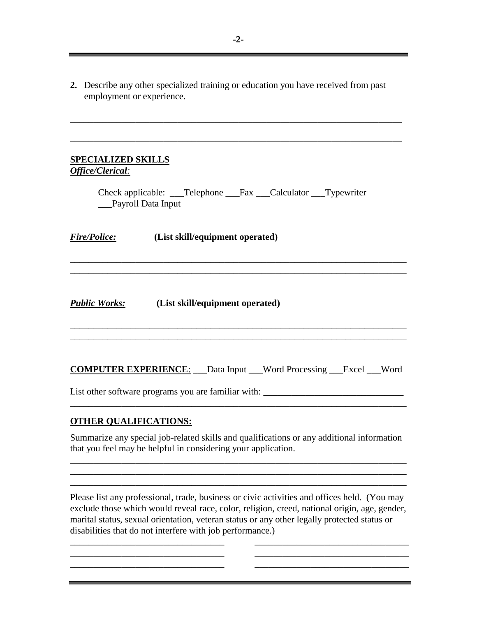**2.** Describe any other specialized training or education you have received from past employment or experience.

\_\_\_\_\_\_\_\_\_\_\_\_\_\_\_\_\_\_\_\_\_\_\_\_\_\_\_\_\_\_\_\_\_\_\_\_\_\_\_\_\_\_\_\_\_\_\_\_\_\_\_\_\_\_\_\_\_\_\_\_\_\_\_\_\_\_\_\_\_\_\_

\_\_\_\_\_\_\_\_\_\_\_\_\_\_\_\_\_\_\_\_\_\_\_\_\_\_\_\_\_\_\_\_\_\_\_\_\_\_\_\_\_\_\_\_\_\_\_\_\_\_\_\_\_\_\_\_\_\_\_\_\_\_\_\_\_\_\_\_\_\_\_

#### **SPECIALIZED SKILLS** *Office/Clerical:*

Check applicable: \_\_\_Telephone \_\_\_Fax \_\_\_Calculator \_\_\_Typewriter \_\_\_Payroll Data Input

\_\_\_\_\_\_\_\_\_\_\_\_\_\_\_\_\_\_\_\_\_\_\_\_\_\_\_\_\_\_\_\_\_\_\_\_\_\_\_\_\_\_\_\_\_\_\_\_\_\_\_\_\_\_\_\_\_\_\_\_\_\_\_\_\_\_\_\_\_\_\_\_ \_\_\_\_\_\_\_\_\_\_\_\_\_\_\_\_\_\_\_\_\_\_\_\_\_\_\_\_\_\_\_\_\_\_\_\_\_\_\_\_\_\_\_\_\_\_\_\_\_\_\_\_\_\_\_\_\_\_\_\_\_\_\_\_\_\_\_\_\_\_\_\_

*Fire/Police:* **(List skill/equipment operated)**

*Public Works:* **(List skill/equipment operated)**

| <b>COMPUTER EXPERIENCE:</b> | Data Input | Word Processing _____Excel ____Word |  |
|-----------------------------|------------|-------------------------------------|--|
|                             |            |                                     |  |

\_\_\_\_\_\_\_\_\_\_\_\_\_\_\_\_\_\_\_\_\_\_\_\_\_\_\_\_\_\_\_\_\_\_\_\_\_\_\_\_\_\_\_\_\_\_\_\_\_\_\_\_\_\_\_\_\_\_\_\_\_\_\_\_\_\_\_\_\_\_\_\_ \_\_\_\_\_\_\_\_\_\_\_\_\_\_\_\_\_\_\_\_\_\_\_\_\_\_\_\_\_\_\_\_\_\_\_\_\_\_\_\_\_\_\_\_\_\_\_\_\_\_\_\_\_\_\_\_\_\_\_\_\_\_\_\_\_\_\_\_\_\_\_\_

List other software programs you are familiar with: \_\_\_\_\_\_\_\_\_\_\_\_\_\_\_\_\_\_\_\_\_\_\_\_\_\_\_\_\_

\_\_\_\_\_\_\_\_\_\_\_\_\_\_\_\_\_\_\_\_\_\_\_\_\_\_\_\_\_\_\_\_\_\_\_\_\_\_\_\_\_\_\_\_\_\_\_\_\_\_\_\_\_\_\_\_\_\_\_\_\_\_\_\_\_\_\_\_\_\_\_\_

## **OTHER QUALIFICATIONS:**

Summarize any special job-related skills and qualifications or any additional information that you feel may be helpful in considering your application.

\_\_\_\_\_\_\_\_\_\_\_\_\_\_\_\_\_\_\_\_\_\_\_\_\_\_\_\_\_\_\_\_\_\_\_\_\_\_\_\_\_\_\_\_\_\_\_\_\_\_\_\_\_\_\_\_\_\_\_\_\_\_\_\_\_\_\_\_\_\_\_\_ \_\_\_\_\_\_\_\_\_\_\_\_\_\_\_\_\_\_\_\_\_\_\_\_\_\_\_\_\_\_\_\_\_\_\_\_\_\_\_\_\_\_\_\_\_\_\_\_\_\_\_\_\_\_\_\_\_\_\_\_\_\_\_\_\_\_\_\_\_\_\_\_ \_\_\_\_\_\_\_\_\_\_\_\_\_\_\_\_\_\_\_\_\_\_\_\_\_\_\_\_\_\_\_\_\_\_\_\_\_\_\_\_\_\_\_\_\_\_\_\_\_\_\_\_\_\_\_\_\_\_\_\_\_\_\_\_\_\_\_\_\_\_\_\_

Please list any professional, trade, business or civic activities and offices held. (You may exclude those which would reveal race, color, religion, creed, national origin, age, gender, marital status, sexual orientation, veteran status or any other legally protected status or disabilities that do not interfere with job performance.)

\_\_\_\_\_\_\_\_\_\_\_\_\_\_\_\_\_\_\_\_\_\_\_\_\_\_\_\_\_\_\_\_\_ \_\_\_\_\_\_\_\_\_\_\_\_\_\_\_\_\_\_\_\_\_\_\_\_\_\_\_\_\_\_\_\_\_  $\overline{\phantom{a}}$  , and the contribution of the contribution of the contribution of the contribution of the contribution of the contribution of the contribution of the contribution of the contribution of the contribution of the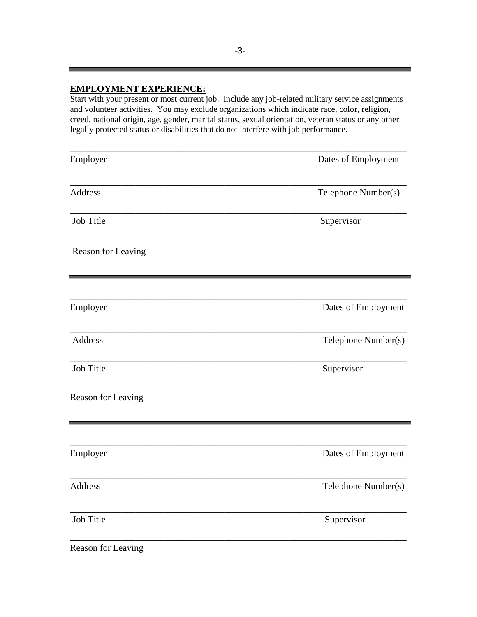## **EMPLOYMENT EXPERIENCE:**

Start with your present or most current job. Include any job-related military service assignments and volunteer activities. You may exclude organizations which indicate race, color, religion, creed, national origin, age, gender, marital status, sexual orientation, veteran status or any other legally protected status or disabilities that do not interfere with job performance.

| Employer           | Dates of Employment |
|--------------------|---------------------|
| <b>Address</b>     | Telephone Number(s) |
| Job Title          | Supervisor          |
| Reason for Leaving |                     |
| Employer           | Dates of Employment |
| <b>Address</b>     | Telephone Number(s) |
| Job Title          | Supervisor          |
| Reason for Leaving |                     |
| Employer           | Dates of Employment |
| Address            | Telephone Number(s) |
| Job Title          | Supervisor          |
|                    |                     |

Reason for Leaving